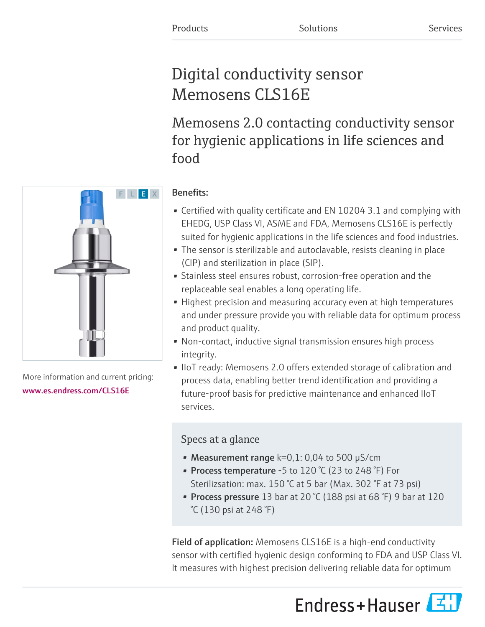# Digital conductivity sensor Memosens CLS16E

Memosens 2.0 contacting conductivity sensor for hygienic applications in life sciences and food

# F L E X

More information and current pricing: [www.es.endress.com/CLS16E](https://www.es.endress.com/CLS16E)

## Benefits:

- Certified with quality certificate and EN 10204 3.1 and complying with EHEDG, USP Class VI, ASME and FDA, Memosens CLS16E is perfectly suited for hygienic applications in the life sciences and food industries.
- The sensor is sterilizable and autoclavable, resists cleaning in place (CIP) and sterilization in place (SIP).
- Stainless steel ensures robust, corrosion-free operation and the replaceable seal enables a long operating life.
- Highest precision and measuring accuracy even at high temperatures and under pressure provide you with reliable data for optimum process and product quality.
- Non-contact, inductive signal transmission ensures high process integrity.
- IIoT ready: Memosens 2.0 offers extended storage of calibration and process data, enabling better trend identification and providing a future-proof basis for predictive maintenance and enhanced IIoT services.

### Specs at a glance

- Measurement range  $k=0,1: 0,04$  to 500  $\mu$ S/cm
- Process temperature -5 to 120 °C (23 to 248 °F) For Sterilizsation: max. 150 °C at 5 bar (Max. 302 °F at 73 psi)
- Process pressure 13 bar at 20  $°C$  (188 psi at 68  $°F$ ) 9 bar at 120 °C (130 psi at 248 °F)

Field of application: Memosens CLS16E is a high-end conductivity sensor with certified hygienic design conforming to FDA and USP Class VI. It measures with highest precision delivering reliable data for optimum



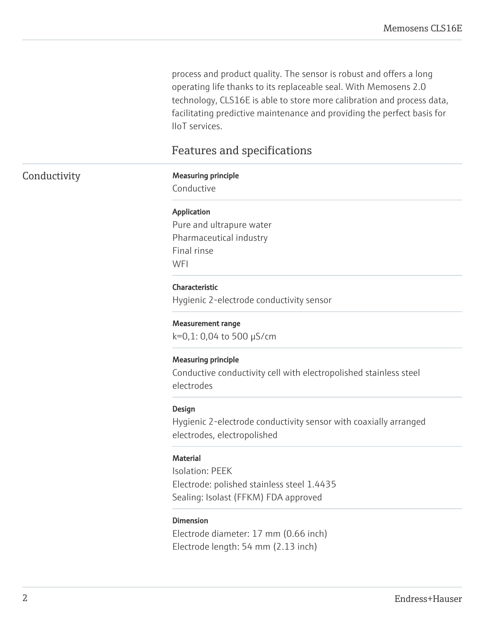process and product quality. The sensor is robust and offers a long operating life thanks to its replaceable seal. With Memosens 2.0 technology, CLS16E is able to store more calibration and process data, facilitating predictive maintenance and providing the perfect basis for IIoT services.

### Features and specifications

### Conductivity Measuring principle

Conductive

### Application

Pure and ultrapure water Pharmaceutical industry Final rinse **WFI** 

### Characteristic

Hygienic 2-electrode conductivity sensor

### Measurement range

k=0,1: 0,04 to 500 µS/cm

### Measuring principle

Conductive conductivity cell with electropolished stainless steel electrodes

### Design

Hygienic 2-electrode conductivity sensor with coaxially arranged electrodes, electropolished

### **Material**

Isolation: PEEK Electrode: polished stainless steel 1.4435 Sealing: Isolast (FFKM) FDA approved

### Dimension

Electrode diameter: 17 mm (0.66 inch) Electrode length: 54 mm (2.13 inch)